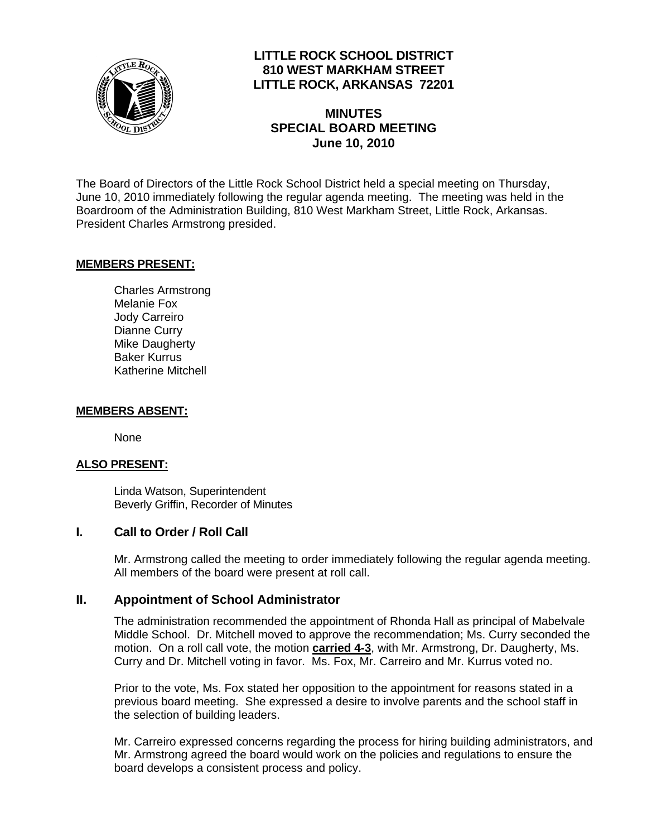

## **LITTLE ROCK SCHOOL DISTRICT 810 WEST MARKHAM STREET LITTLE ROCK, ARKANSAS 72201**

# **MINUTES SPECIAL BOARD MEETING June 10, 2010**

The Board of Directors of the Little Rock School District held a special meeting on Thursday, June 10, 2010 immediately following the regular agenda meeting. The meeting was held in the Boardroom of the Administration Building, 810 West Markham Street, Little Rock, Arkansas. President Charles Armstrong presided.

### **MEMBERS PRESENT:**

Charles Armstrong Melanie Fox Jody Carreiro Dianne Curry Mike Daugherty Baker Kurrus Katherine Mitchell

#### **MEMBERS ABSENT:**

None

#### **ALSO PRESENT:**

 Linda Watson, Superintendent Beverly Griffin, Recorder of Minutes

#### **I. Call to Order / Roll Call**

Mr. Armstrong called the meeting to order immediately following the regular agenda meeting. All members of the board were present at roll call.

#### **II. Appointment of School Administrator**

The administration recommended the appointment of Rhonda Hall as principal of Mabelvale Middle School. Dr. Mitchell moved to approve the recommendation; Ms. Curry seconded the motion. On a roll call vote, the motion **carried 4-3**, with Mr. Armstrong, Dr. Daugherty, Ms. Curry and Dr. Mitchell voting in favor. Ms. Fox, Mr. Carreiro and Mr. Kurrus voted no.

Prior to the vote, Ms. Fox stated her opposition to the appointment for reasons stated in a previous board meeting. She expressed a desire to involve parents and the school staff in the selection of building leaders.

Mr. Carreiro expressed concerns regarding the process for hiring building administrators, and Mr. Armstrong agreed the board would work on the policies and regulations to ensure the board develops a consistent process and policy.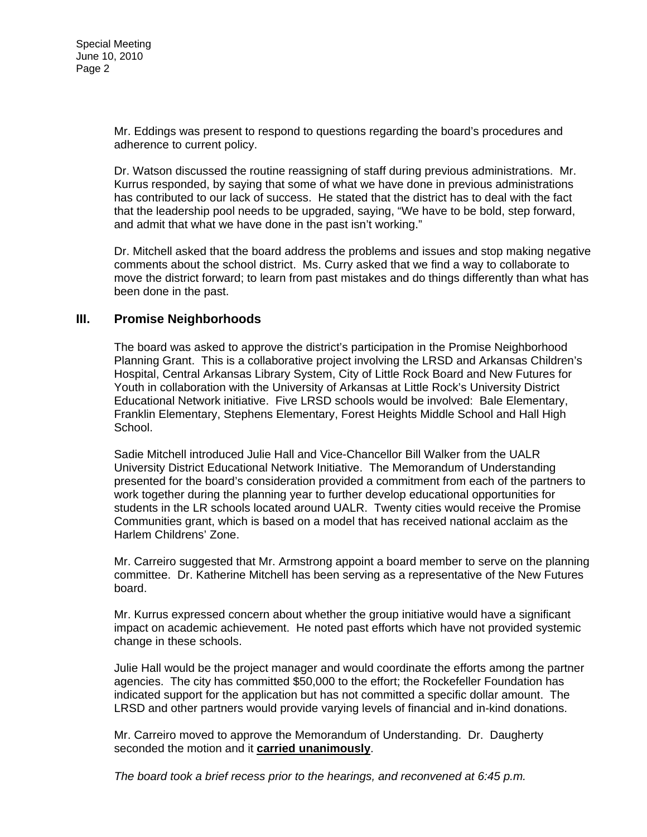Mr. Eddings was present to respond to questions regarding the board's procedures and adherence to current policy.

Dr. Watson discussed the routine reassigning of staff during previous administrations. Mr. Kurrus responded, by saying that some of what we have done in previous administrations has contributed to our lack of success. He stated that the district has to deal with the fact that the leadership pool needs to be upgraded, saying, "We have to be bold, step forward, and admit that what we have done in the past isn't working."

Dr. Mitchell asked that the board address the problems and issues and stop making negative comments about the school district. Ms. Curry asked that we find a way to collaborate to move the district forward; to learn from past mistakes and do things differently than what has been done in the past.

### **III. Promise Neighborhoods**

The board was asked to approve the district's participation in the Promise Neighborhood Planning Grant. This is a collaborative project involving the LRSD and Arkansas Children's Hospital, Central Arkansas Library System, City of Little Rock Board and New Futures for Youth in collaboration with the University of Arkansas at Little Rock's University District Educational Network initiative. Five LRSD schools would be involved: Bale Elementary, Franklin Elementary, Stephens Elementary, Forest Heights Middle School and Hall High School.

Sadie Mitchell introduced Julie Hall and Vice-Chancellor Bill Walker from the UALR University District Educational Network Initiative. The Memorandum of Understanding presented for the board's consideration provided a commitment from each of the partners to work together during the planning year to further develop educational opportunities for students in the LR schools located around UALR. Twenty cities would receive the Promise Communities grant, which is based on a model that has received national acclaim as the Harlem Childrens' Zone.

Mr. Carreiro suggested that Mr. Armstrong appoint a board member to serve on the planning committee. Dr. Katherine Mitchell has been serving as a representative of the New Futures board.

Mr. Kurrus expressed concern about whether the group initiative would have a significant impact on academic achievement. He noted past efforts which have not provided systemic change in these schools.

Julie Hall would be the project manager and would coordinate the efforts among the partner agencies. The city has committed \$50,000 to the effort; the Rockefeller Foundation has indicated support for the application but has not committed a specific dollar amount. The LRSD and other partners would provide varying levels of financial and in-kind donations.

Mr. Carreiro moved to approve the Memorandum of Understanding. Dr. Daugherty seconded the motion and it **carried unanimously**.

*The board took a brief recess prior to the hearings, and reconvened at 6:45 p.m.*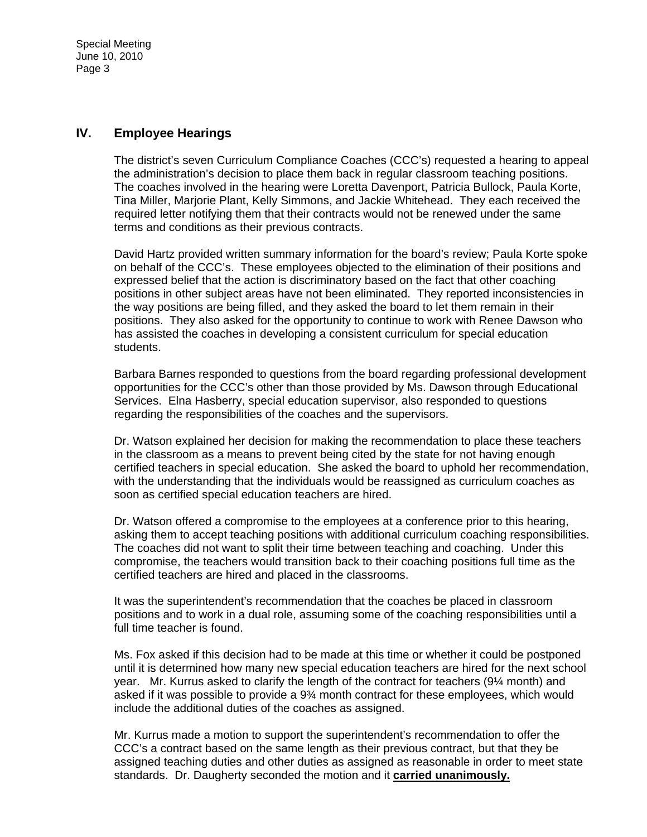Special Meeting June 10, 2010 Page 3

#### **IV. Employee Hearings**

The district's seven Curriculum Compliance Coaches (CCC's) requested a hearing to appeal the administration's decision to place them back in regular classroom teaching positions. The coaches involved in the hearing were Loretta Davenport, Patricia Bullock, Paula Korte, Tina Miller, Marjorie Plant, Kelly Simmons, and Jackie Whitehead. They each received the required letter notifying them that their contracts would not be renewed under the same terms and conditions as their previous contracts.

David Hartz provided written summary information for the board's review; Paula Korte spoke on behalf of the CCC's. These employees objected to the elimination of their positions and expressed belief that the action is discriminatory based on the fact that other coaching positions in other subject areas have not been eliminated. They reported inconsistencies in the way positions are being filled, and they asked the board to let them remain in their positions. They also asked for the opportunity to continue to work with Renee Dawson who has assisted the coaches in developing a consistent curriculum for special education students.

Barbara Barnes responded to questions from the board regarding professional development opportunities for the CCC's other than those provided by Ms. Dawson through Educational Services. Elna Hasberry, special education supervisor, also responded to questions regarding the responsibilities of the coaches and the supervisors.

Dr. Watson explained her decision for making the recommendation to place these teachers in the classroom as a means to prevent being cited by the state for not having enough certified teachers in special education. She asked the board to uphold her recommendation, with the understanding that the individuals would be reassigned as curriculum coaches as soon as certified special education teachers are hired.

Dr. Watson offered a compromise to the employees at a conference prior to this hearing, asking them to accept teaching positions with additional curriculum coaching responsibilities. The coaches did not want to split their time between teaching and coaching. Under this compromise, the teachers would transition back to their coaching positions full time as the certified teachers are hired and placed in the classrooms.

It was the superintendent's recommendation that the coaches be placed in classroom positions and to work in a dual role, assuming some of the coaching responsibilities until a full time teacher is found.

Ms. Fox asked if this decision had to be made at this time or whether it could be postponed until it is determined how many new special education teachers are hired for the next school year. Mr. Kurrus asked to clarify the length of the contract for teachers (9¼ month) and asked if it was possible to provide a 9¾ month contract for these employees, which would include the additional duties of the coaches as assigned.

Mr. Kurrus made a motion to support the superintendent's recommendation to offer the CCC's a contract based on the same length as their previous contract, but that they be assigned teaching duties and other duties as assigned as reasonable in order to meet state standards. Dr. Daugherty seconded the motion and it **carried unanimously.**